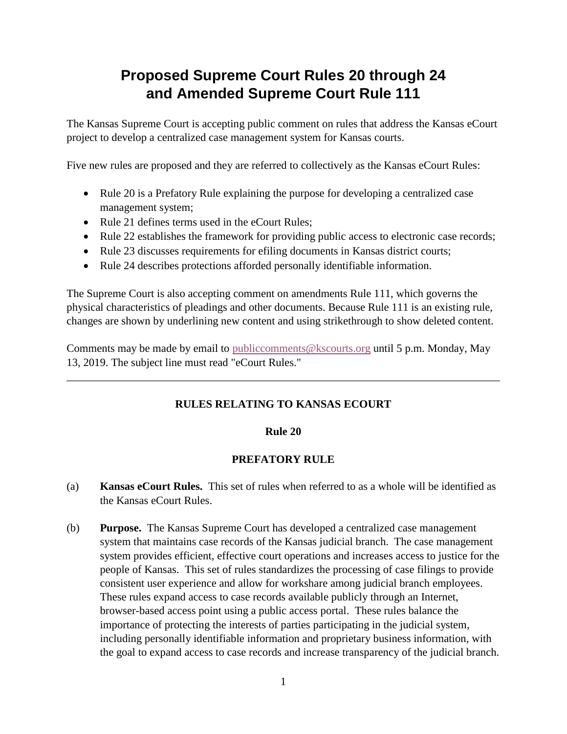# **Proposed Supreme Court Rules 20 through 24 and Amended Supreme Court Rule 111**

The Kansas Supreme Court is accepting public comment on rules that address the Kansas eCourt project to develop a centralized case management system for Kansas courts.

Five new rules are proposed and they are referred to collectively as the Kansas eCourt Rules:

- Rule 20 is a Prefatory Rule explaining the purpose for developing a centralized case management system;
- Rule 21 defines terms used in the eCourt Rules;
- Rule 22 establishes the framework for providing public access to electronic case records;
- Rule 23 discusses requirements for efiling documents in Kansas district courts;
- Rule 24 describes protections afforded personally identifiable information.

The Supreme Court is also accepting comment on amendments Rule 111, which governs the physical characteristics of pleadings and other documents. Because Rule 111 is an existing rule, changes are shown by underlining new content and using strikethrough to show deleted content.

Comments may be made by email to [publiccomments@kscourts.org](mailto:publiccomments@kscourts.org?subject=eCourt%20Rules) until 5 p.m. Monday, May 13, 2019. The subject line must read "eCourt Rules."

# **RULES RELATING TO KANSAS ECOURT**

\_\_\_\_\_\_\_\_\_\_\_\_\_\_\_\_\_\_\_\_\_\_\_\_\_\_\_\_\_\_\_\_\_\_\_\_\_\_\_\_\_\_\_\_\_\_\_\_\_\_\_\_\_\_\_\_\_\_\_\_\_\_\_\_\_\_\_\_\_\_\_\_\_\_\_\_\_\_

# **Rule 20**

# **PREFATORY RULE**

- (a) **Kansas eCourt Rules.** This set of rules when referred to as a whole will be identified as the Kansas eCourt Rules.
- (b) **Purpose.** The Kansas Supreme Court has developed a centralized case management system that maintains case records of the Kansas judicial branch. The case management system provides efficient, effective court operations and increases access to justice for the people of Kansas. This set of rules standardizes the processing of case filings to provide consistent user experience and allow for workshare among judicial branch employees. These rules expand access to case records available publicly through an Internet, browser-based access point using a public access portal. These rules balance the importance of protecting the interests of parties participating in the judicial system, including personally identifiable information and proprietary business information, with the goal to expand access to case records and increase transparency of the judicial branch.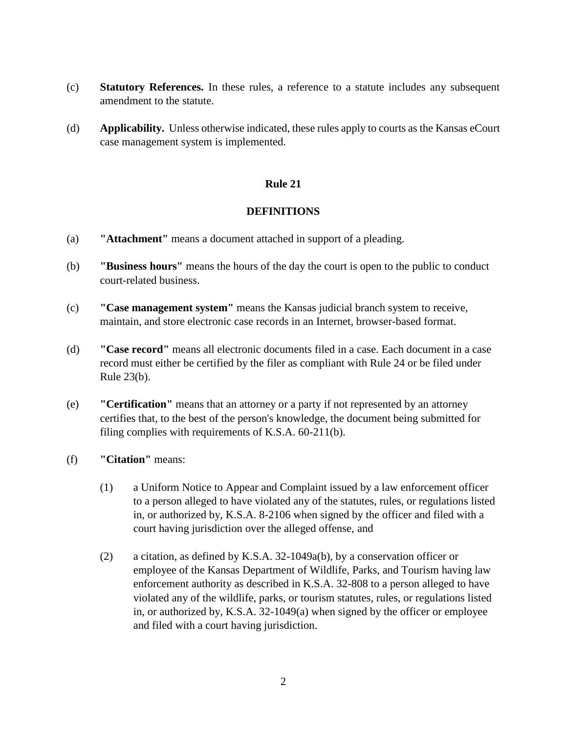- (c) **Statutory References.** In these rules, a reference to a statute includes any subsequent amendment to the statute.
- (d) **Applicability.** Unless otherwise indicated, these rules apply to courts as the Kansas eCourt case management system is implemented.

# **DEFINITIONS**

- (a) **"Attachment"** means a document attached in support of a pleading.
- (b) **"Business hours"** means the hours of the day the court is open to the public to conduct court-related business.
- (c) **"Case management system"** means the Kansas judicial branch system to receive, maintain, and store electronic case records in an Internet, browser-based format.
- (d) **"Case record"** means all electronic documents filed in a case. Each document in a case record must either be certified by the filer as compliant with Rule 24 or be filed under Rule 23(b).
- (e) **"Certification"** means that an attorney or a party if not represented by an attorney certifies that, to the best of the person's knowledge, the document being submitted for filing complies with requirements of K.S.A. 60-211(b).
- (f) **"Citation"** means:
	- (1) a Uniform Notice to Appear and Complaint issued by a law enforcement officer to a person alleged to have violated any of the statutes, rules, or regulations listed in, or authorized by, K.S.A. 8-2106 when signed by the officer and filed with a court having jurisdiction over the alleged offense, and
	- (2) a citation, as defined by K.S.A. 32-1049a(b), by a conservation officer or employee of the Kansas Department of Wildlife, Parks, and Tourism having law enforcement authority as described in K.S.A. 32-808 to a person alleged to have violated any of the wildlife, parks, or tourism statutes, rules, or regulations listed in, or authorized by, K.S.A. 32-1049(a) when signed by the officer or employee and filed with a court having jurisdiction.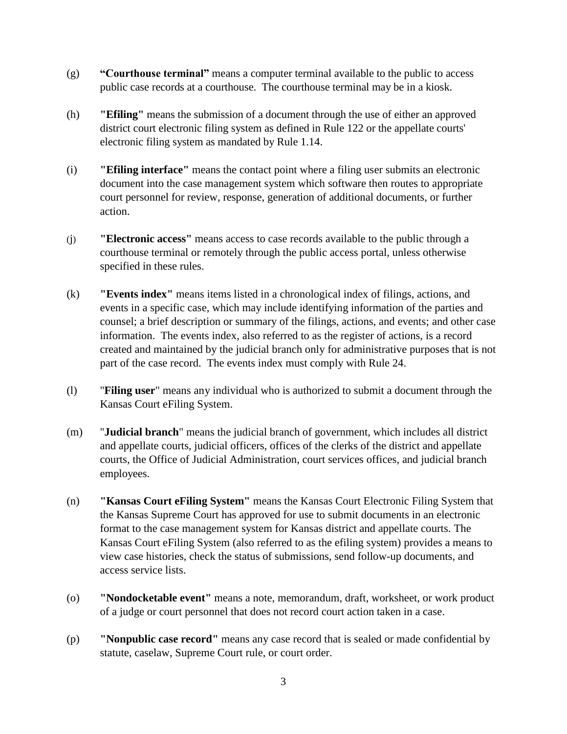- (g) **"Courthouse terminal"** means a computer terminal available to the public to access public case records at a courthouse. The courthouse terminal may be in a kiosk.
- (h) **"Efiling"** means the submission of a document through the use of either an approved district court electronic filing system as defined in Rule 122 or the appellate courts' electronic filing system as mandated by Rule 1.14.
- (i) **"Efiling interface"** means the contact point where a filing user submits an electronic document into the case management system which software then routes to appropriate court personnel for review, response, generation of additional documents, or further action.
- (j) **"Electronic access"** means access to case records available to the public through a courthouse terminal or remotely through the public access portal, unless otherwise specified in these rules.
- (k) **"Events index"** means items listed in a chronological index of filings, actions, and events in a specific case, which may include identifying information of the parties and counsel; a brief description or summary of the filings, actions, and events; and other case information. The events index, also referred to as the register of actions, is a record created and maintained by the judicial branch only for administrative purposes that is not part of the case record. The events index must comply with Rule 24.
- (l) "**Filing user**" means any individual who is authorized to submit a document through the Kansas Court eFiling System.
- (m) "**Judicial branch**" means the judicial branch of government, which includes all district and appellate courts, judicial officers, offices of the clerks of the district and appellate courts, the Office of Judicial Administration, court services offices, and judicial branch employees.
- (n) **"Kansas Court eFiling System"** means the Kansas Court Electronic Filing System that the Kansas Supreme Court has approved for use to submit documents in an electronic format to the case management system for Kansas district and appellate courts. The Kansas Court eFiling System (also referred to as the efiling system) provides a means to view case histories, check the status of submissions, send follow-up documents, and access service lists.
- (o) **"Nondocketable event"** means a note, memorandum, draft, worksheet, or work product of a judge or court personnel that does not record court action taken in a case.
- (p) **"Nonpublic case record"** means any case record that is sealed or made confidential by statute, caselaw, Supreme Court rule, or court order.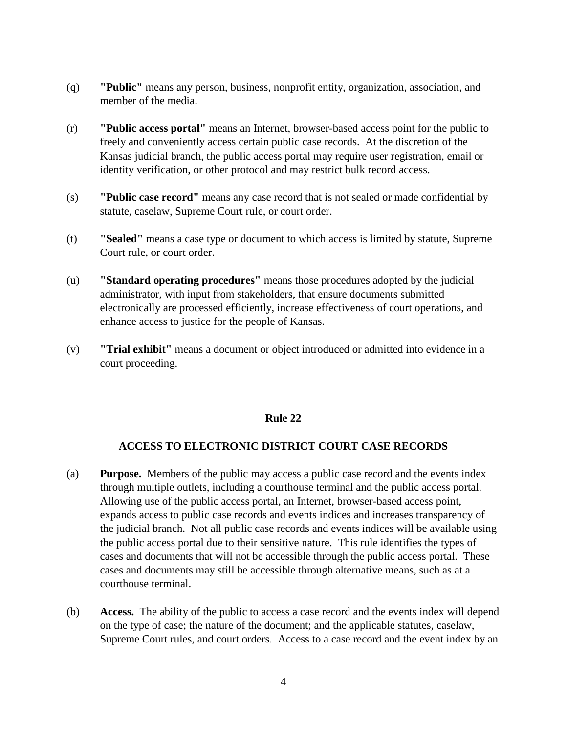- (q) **"Public"** means any person, business, nonprofit entity, organization, association, and member of the media.
- (r) **"Public access portal"** means an Internet, browser-based access point for the public to freely and conveniently access certain public case records. At the discretion of the Kansas judicial branch, the public access portal may require user registration, email or identity verification, or other protocol and may restrict bulk record access.
- (s) **"Public case record"** means any case record that is not sealed or made confidential by statute, caselaw, Supreme Court rule, or court order.
- (t) **"Sealed"** means a case type or document to which access is limited by statute, Supreme Court rule, or court order.
- (u) **"Standard operating procedures"** means those procedures adopted by the judicial administrator, with input from stakeholders, that ensure documents submitted electronically are processed efficiently, increase effectiveness of court operations, and enhance access to justice for the people of Kansas.
- (v) **"Trial exhibit"** means a document or object introduced or admitted into evidence in a court proceeding.

# **ACCESS TO ELECTRONIC DISTRICT COURT CASE RECORDS**

- (a) **Purpose.** Members of the public may access a public case record and the events index through multiple outlets, including a courthouse terminal and the public access portal. Allowing use of the public access portal, an Internet, browser-based access point, expands access to public case records and events indices and increases transparency of the judicial branch. Not all public case records and events indices will be available using the public access portal due to their sensitive nature. This rule identifies the types of cases and documents that will not be accessible through the public access portal. These cases and documents may still be accessible through alternative means, such as at a courthouse terminal.
- (b) **Access.** The ability of the public to access a case record and the events index will depend on the type of case; the nature of the document; and the applicable statutes, caselaw, Supreme Court rules, and court orders. Access to a case record and the event index by an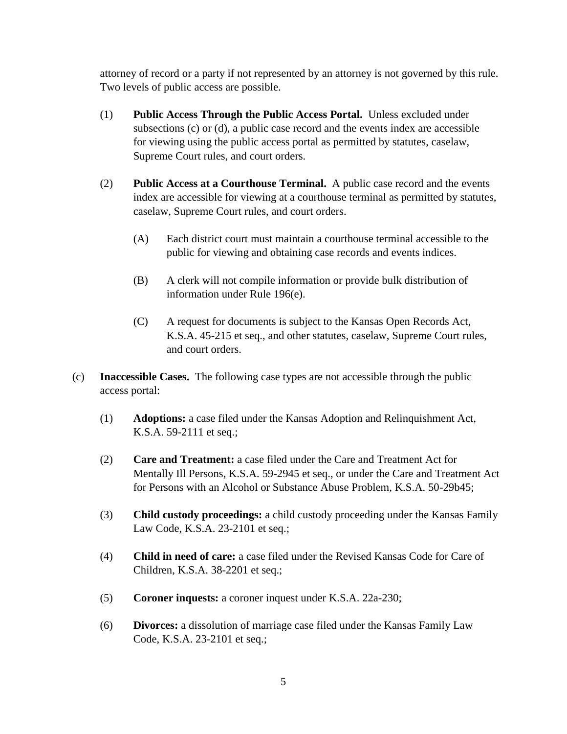attorney of record or a party if not represented by an attorney is not governed by this rule. Two levels of public access are possible.

- (1) **Public Access Through the Public Access Portal.** Unless excluded under subsections (c) or (d), a public case record and the events index are accessible for viewing using the public access portal as permitted by statutes, caselaw, Supreme Court rules, and court orders.
- (2) **Public Access at a Courthouse Terminal.** A public case record and the events index are accessible for viewing at a courthouse terminal as permitted by statutes, caselaw, Supreme Court rules, and court orders.
	- (A) Each district court must maintain a courthouse terminal accessible to the public for viewing and obtaining case records and events indices.
	- (B) A clerk will not compile information or provide bulk distribution of information under Rule 196(e).
	- (C) A request for documents is subject to the Kansas Open Records Act, K.S.A. 45-215 et seq., and other statutes, caselaw, Supreme Court rules, and court orders.
- (c) **Inaccessible Cases.** The following case types are not accessible through the public access portal:
	- (1) **Adoptions:** a case filed under the Kansas Adoption and Relinquishment Act, K.S.A. 59-2111 et seq.;
	- (2) **Care and Treatment:** a case filed under the Care and Treatment Act for Mentally Ill Persons, K.S.A. 59-2945 et seq., or under the Care and Treatment Act for Persons with an Alcohol or Substance Abuse Problem, K.S.A. 50-29b45;
	- (3) **Child custody proceedings:** a child custody proceeding under the Kansas Family Law Code, K.S.A. 23-2101 et seq.;
	- (4) **Child in need of care:** a case filed under the Revised Kansas Code for Care of Children, K.S.A. 38-2201 et seq.;
	- (5) **Coroner inquests:** a coroner inquest under K.S.A. 22a-230;
	- (6) **Divorces:** a dissolution of marriage case filed under the Kansas Family Law Code, K.S.A. 23-2101 et seq.;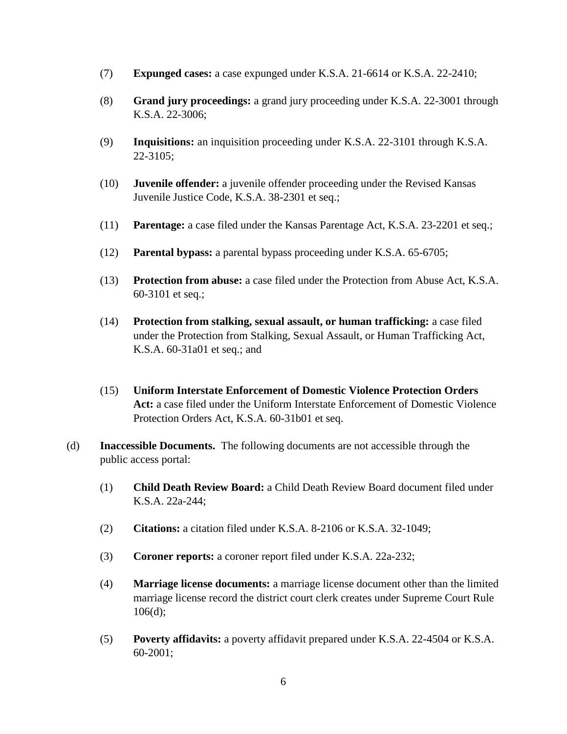- (7) **Expunged cases:** a case expunged under K.S.A. 21-6614 or K.S.A. 22-2410;
- (8) **Grand jury proceedings:** a grand jury proceeding under K.S.A. 22-3001 through K.S.A. 22-3006;
- (9) **Inquisitions:** an inquisition proceeding under K.S.A. 22-3101 through K.S.A. 22-3105;
- (10) **Juvenile offender:** a juvenile offender proceeding under the Revised Kansas Juvenile Justice Code, K.S.A. 38-2301 et seq.;
- (11) **Parentage:** a case filed under the Kansas Parentage Act, K.S.A. 23-2201 et seq.;
- (12) **Parental bypass:** a parental bypass proceeding under K.S.A. 65-6705;
- (13) **Protection from abuse:** a case filed under the Protection from Abuse Act, K.S.A. 60-3101 et seq.;
- (14) **Protection from stalking, sexual assault, or human trafficking:** a case filed under the Protection from Stalking, Sexual Assault, or Human Trafficking Act, K.S.A. 60-31a01 et seq.; and
- (15) **Uniform Interstate Enforcement of Domestic Violence Protection Orders Act:** a case filed under the Uniform Interstate Enforcement of Domestic Violence Protection Orders Act, K.S.A. 60-31b01 et seq.
- (d) **Inaccessible Documents.** The following documents are not accessible through the public access portal:
	- (1) **Child Death Review Board:** a Child Death Review Board document filed under K.S.A. 22a-244;
	- (2) **Citations:** a citation filed under K.S.A. 8-2106 or K.S.A. 32-1049;
	- (3) **Coroner reports:** a coroner report filed under K.S.A. 22a-232;
	- (4) **Marriage license documents:** a marriage license document other than the limited marriage license record the district court clerk creates under Supreme Court Rule 106(d);
	- (5) **Poverty affidavits:** a poverty affidavit prepared under K.S.A. 22-4504 or K.S.A. 60-2001;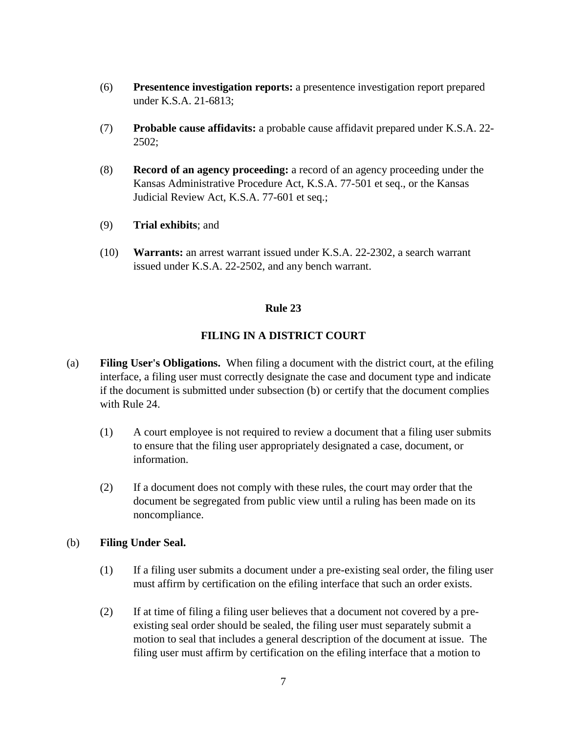- (6) **Presentence investigation reports:** a presentence investigation report prepared under K.S.A. 21-6813;
- (7) **Probable cause affidavits:** a probable cause affidavit prepared under K.S.A. 22- 2502;
- (8) **Record of an agency proceeding:** a record of an agency proceeding under the Kansas Administrative Procedure Act, K.S.A. 77-501 et seq., or the Kansas Judicial Review Act, K.S.A. 77-601 et seq.;
- (9) **Trial exhibits**; and
- (10) **Warrants:** an arrest warrant issued under K.S.A. 22-2302, a search warrant issued under K.S.A. 22-2502, and any bench warrant.

## **FILING IN A DISTRICT COURT**

- (a) **Filing User's Obligations.** When filing a document with the district court, at the efiling interface, a filing user must correctly designate the case and document type and indicate if the document is submitted under subsection (b) or certify that the document complies with Rule 24.
	- (1) A court employee is not required to review a document that a filing user submits to ensure that the filing user appropriately designated a case, document, or information.
	- (2) If a document does not comply with these rules, the court may order that the document be segregated from public view until a ruling has been made on its noncompliance.

### (b) **Filing Under Seal.**

- (1) If a filing user submits a document under a pre-existing seal order, the filing user must affirm by certification on the efiling interface that such an order exists.
- (2) If at time of filing a filing user believes that a document not covered by a preexisting seal order should be sealed, the filing user must separately submit a motion to seal that includes a general description of the document at issue. The filing user must affirm by certification on the efiling interface that a motion to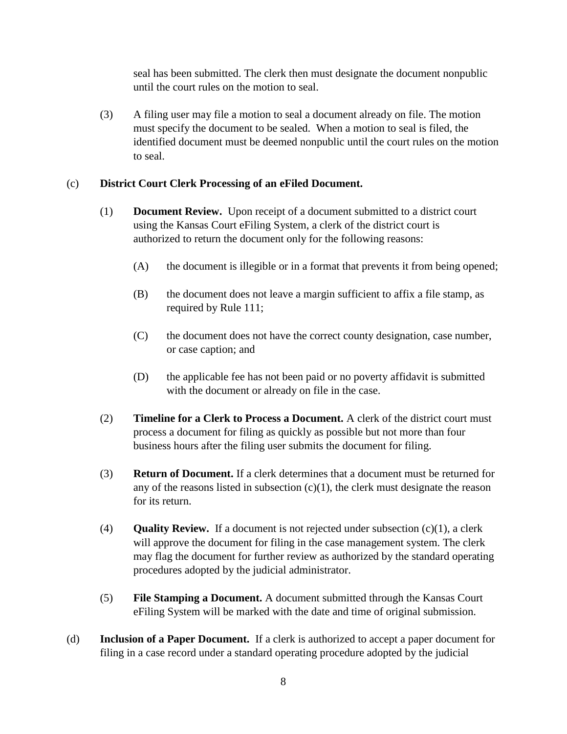seal has been submitted. The clerk then must designate the document nonpublic until the court rules on the motion to seal.

(3) A filing user may file a motion to seal a document already on file. The motion must specify the document to be sealed. When a motion to seal is filed, the identified document must be deemed nonpublic until the court rules on the motion to seal.

# (c) **District Court Clerk Processing of an eFiled Document.**

- (1) **Document Review.** Upon receipt of a document submitted to a district court using the Kansas Court eFiling System, a clerk of the district court is authorized to return the document only for the following reasons:
	- (A) the document is illegible or in a format that prevents it from being opened;
	- (B) the document does not leave a margin sufficient to affix a file stamp, as required by Rule 111;
	- (C) the document does not have the correct county designation, case number, or case caption; and
	- (D) the applicable fee has not been paid or no poverty affidavit is submitted with the document or already on file in the case.
- (2) **Timeline for a Clerk to Process a Document.** A clerk of the district court must process a document for filing as quickly as possible but not more than four business hours after the filing user submits the document for filing.
- (3) **Return of Document.** If a clerk determines that a document must be returned for any of the reasons listed in subsection  $(c)(1)$ , the clerk must designate the reason for its return.
- (4) **Quality Review.** If a document is not rejected under subsection  $(c)(1)$ , a clerk will approve the document for filing in the case management system. The clerk may flag the document for further review as authorized by the standard operating procedures adopted by the judicial administrator.
- (5) **File Stamping a Document.** A document submitted through the Kansas Court eFiling System will be marked with the date and time of original submission.
- (d) **Inclusion of a Paper Document.** If a clerk is authorized to accept a paper document for filing in a case record under a standard operating procedure adopted by the judicial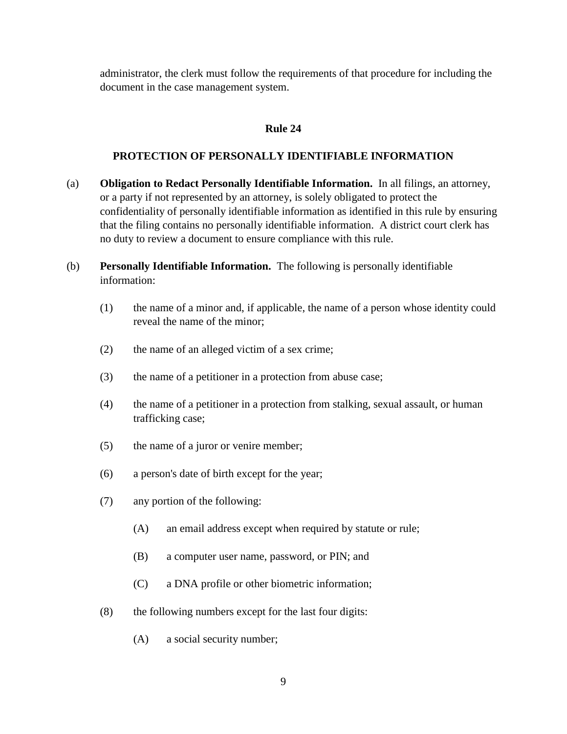administrator, the clerk must follow the requirements of that procedure for including the document in the case management system.

# **Rule 24**

#### **PROTECTION OF PERSONALLY IDENTIFIABLE INFORMATION**

- (a) **Obligation to Redact Personally Identifiable Information.** In all filings, an attorney, or a party if not represented by an attorney, is solely obligated to protect the confidentiality of personally identifiable information as identified in this rule by ensuring that the filing contains no personally identifiable information. A district court clerk has no duty to review a document to ensure compliance with this rule.
- (b) **Personally Identifiable Information.** The following is personally identifiable information:
	- (1) the name of a minor and, if applicable, the name of a person whose identity could reveal the name of the minor;
	- (2) the name of an alleged victim of a sex crime;
	- (3) the name of a petitioner in a protection from abuse case;
	- (4) the name of a petitioner in a protection from stalking, sexual assault, or human trafficking case;
	- (5) the name of a juror or venire member;
	- (6) a person's date of birth except for the year;
	- (7) any portion of the following:
		- (A) an email address except when required by statute or rule;
		- (B) a computer user name, password, or PIN; and
		- (C) a DNA profile or other biometric information;
	- (8) the following numbers except for the last four digits:
		- (A) a social security number;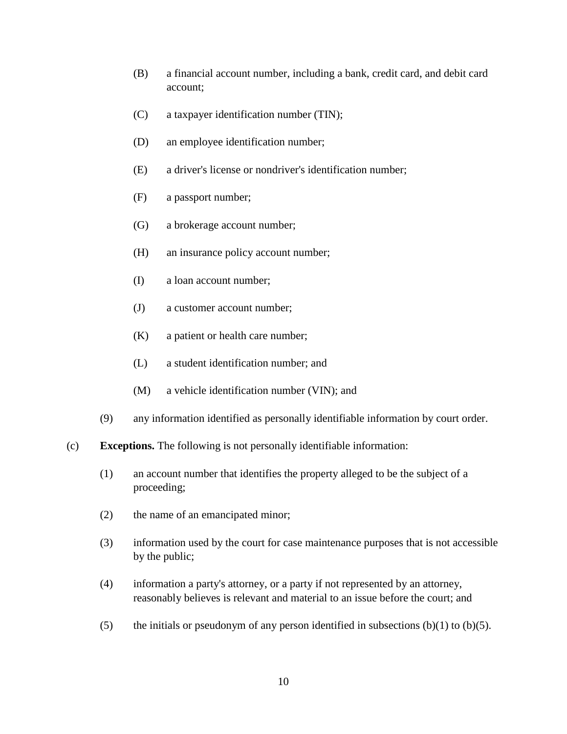- (B) a financial account number, including a bank, credit card, and debit card account;
- (C) a taxpayer identification number (TIN);
- (D) an employee identification number;
- (E) a driver's license or nondriver's identification number;
- (F) a passport number;
- (G) a brokerage account number;
- (H) an insurance policy account number;
- (I) a loan account number;
- (J) a customer account number;
- (K) a patient or health care number;
- (L) a student identification number; and
- (M) a vehicle identification number (VIN); and
- (9) any information identified as personally identifiable information by court order.
- (c) **Exceptions.** The following is not personally identifiable information:
	- (1) an account number that identifies the property alleged to be the subject of a proceeding;
	- (2) the name of an emancipated minor;
	- (3) information used by the court for case maintenance purposes that is not accessible by the public;
	- (4) information a party's attorney, or a party if not represented by an attorney, reasonably believes is relevant and material to an issue before the court; and
	- (5) the initials or pseudonym of any person identified in subsections  $(b)(1)$  to  $(b)(5)$ .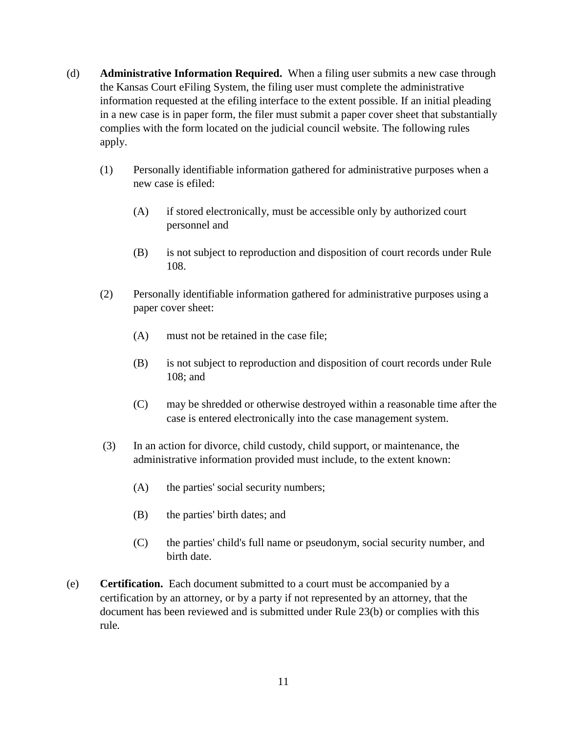- (d) **Administrative Information Required.** When a filing user submits a new case through the Kansas Court eFiling System, the filing user must complete the administrative information requested at the efiling interface to the extent possible. If an initial pleading in a new case is in paper form, the filer must submit a paper cover sheet that substantially complies with the form located on the judicial council website. The following rules apply.
	- (1) Personally identifiable information gathered for administrative purposes when a new case is efiled:
		- (A) if stored electronically, must be accessible only by authorized court personnel and
		- (B) is not subject to reproduction and disposition of court records under Rule 108.
	- (2) Personally identifiable information gathered for administrative purposes using a paper cover sheet:
		- (A) must not be retained in the case file;
		- (B) is not subject to reproduction and disposition of court records under Rule 108; and
		- (C) may be shredded or otherwise destroyed within a reasonable time after the case is entered electronically into the case management system.
	- (3) In an action for divorce, child custody, child support, or maintenance, the administrative information provided must include, to the extent known:
		- (A) the parties' social security numbers;
		- (B) the parties' birth dates; and
		- (C) the parties' child's full name or pseudonym, social security number, and birth date.
- (e) **Certification.** Each document submitted to a court must be accompanied by a certification by an attorney, or by a party if not represented by an attorney, that the document has been reviewed and is submitted under Rule 23(b) or complies with this rule*.*